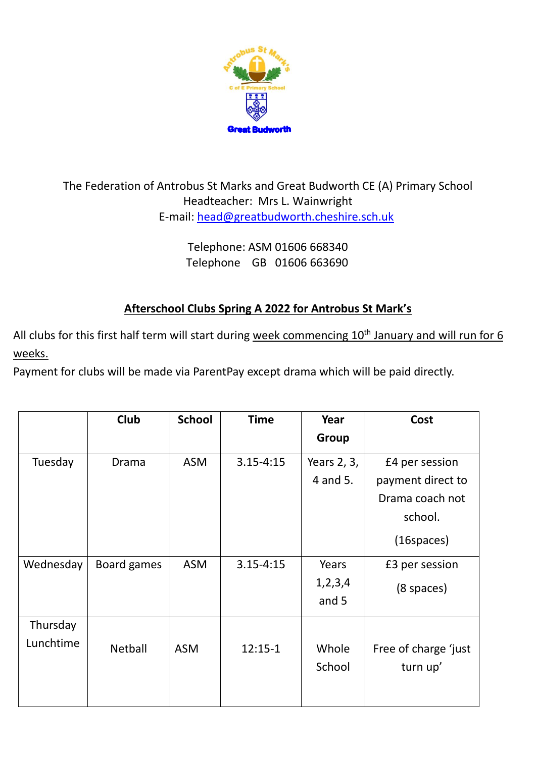

## The Federation of Antrobus St Marks and Great Budworth CE (A) Primary School Headteacher: Mrs L. Wainwright E-mail: [head@greatbudworth.cheshire.sch.uk](mailto:head@greatbudworth.cheshire.sch.uk)

Telephone: ASM 01606 668340 Telephone GB 01606 663690

## **Afterschool Clubs Spring A 2022 for Antrobus St Mark's**

All clubs for this first half term will start during week commencing 10<sup>th</sup> January and will run for 6 weeks.

Payment for clubs will be made via ParentPay except drama which will be paid directly.

|           | Club        | <b>School</b> | <b>Time</b>   | Year        | Cost                 |
|-----------|-------------|---------------|---------------|-------------|----------------------|
|           |             |               |               | Group       |                      |
| Tuesday   | Drama       | <b>ASM</b>    | $3.15 - 4:15$ | Years 2, 3, | £4 per session       |
|           |             |               |               | 4 and 5.    | payment direct to    |
|           |             |               |               |             | Drama coach not      |
|           |             |               |               |             | school.              |
|           |             |               |               |             | $(16$ spaces $)$     |
| Wednesday | Board games | <b>ASM</b>    | $3.15 - 4:15$ | Years       | £3 per session       |
|           |             |               |               | 1,2,3,4     | $(8$ spaces)         |
|           |             |               |               | and 5       |                      |
| Thursday  |             |               |               |             |                      |
| Lunchtime | Netball     | <b>ASM</b>    | $12:15-1$     | Whole       | Free of charge 'just |
|           |             |               |               | School      | turn up'             |
|           |             |               |               |             |                      |
|           |             |               |               |             |                      |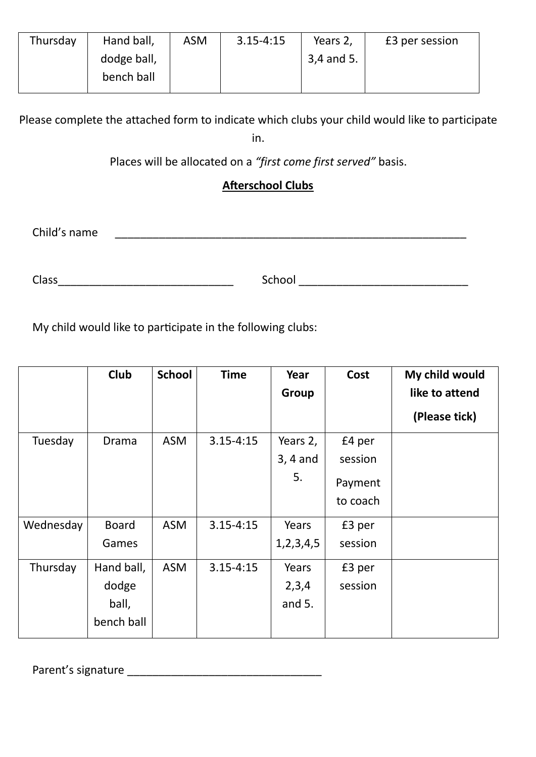| Thursday | Hand ball,  | <b>ASM</b> | $3.15 - 4:15$ | Years 2,   | £3 per session |
|----------|-------------|------------|---------------|------------|----------------|
|          | dodge ball, |            |               | 3,4 and 5. |                |
|          | bench ball  |            |               |            |                |
|          |             |            |               |            |                |

Please complete the attached form to indicate which clubs your child would like to participate

in.

Places will be allocated on a *"first come first served"* basis.

## **Afterschool Clubs**

Child's name \_\_\_\_\_\_\_\_\_\_\_\_\_\_\_\_\_\_\_\_\_\_\_\_\_\_\_\_\_\_\_\_\_\_\_\_\_\_\_\_\_\_\_\_\_\_\_\_\_\_\_\_\_\_\_\_

Class\_\_\_\_\_\_\_\_\_\_\_\_\_\_\_\_\_\_\_\_\_\_\_\_\_\_\_\_ School \_\_\_\_\_\_\_\_\_\_\_\_\_\_\_\_\_\_\_\_\_\_\_\_\_\_\_

My child would like to participate in the following clubs:

|           | Club         | <b>School</b> | <b>Time</b>   | Year          | Cost     | My child would |
|-----------|--------------|---------------|---------------|---------------|----------|----------------|
|           |              |               |               | Group         |          | like to attend |
|           |              |               |               |               |          | (Please tick)  |
| Tuesday   | Drama        | <b>ASM</b>    | $3.15 - 4:15$ | Years 2,      | £4 per   |                |
|           |              |               |               | $3, 4$ and    | session  |                |
|           |              |               |               | 5.            | Payment  |                |
|           |              |               |               |               | to coach |                |
| Wednesday | <b>Board</b> | <b>ASM</b>    | $3.15 - 4:15$ | Years         | £3 per   |                |
|           | Games        |               |               | 1, 2, 3, 4, 5 | session  |                |
| Thursday  | Hand ball,   | <b>ASM</b>    | $3.15 - 4:15$ | Years         | £3 per   |                |
|           | dodge        |               |               | 2,3,4         | session  |                |
|           | ball,        |               |               | and $5.$      |          |                |
|           | bench ball   |               |               |               |          |                |

Parent's signature \_\_\_\_\_\_\_\_\_\_\_\_\_\_\_\_\_\_\_\_\_\_\_\_\_\_\_\_\_\_\_